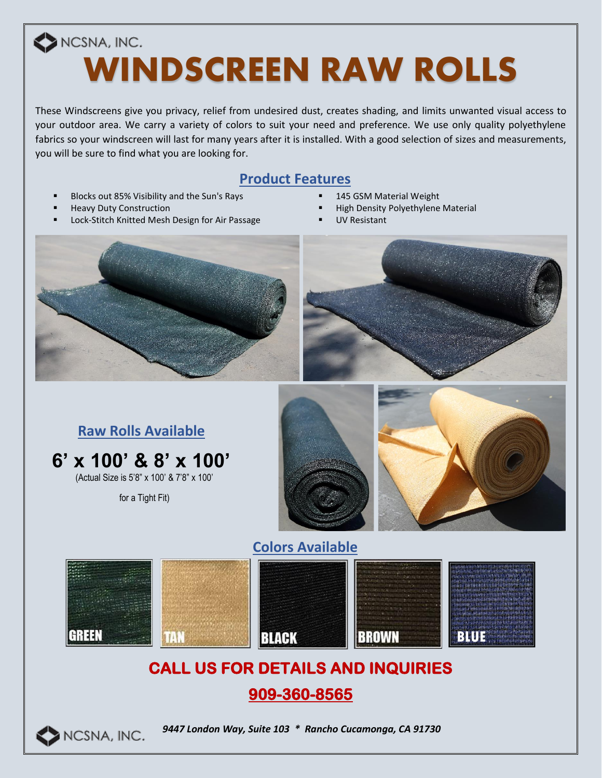# NCSNA, INC. **WINDSCREEN RAW ROLLS**

These Windscreens give you privacy, relief from undesired dust, creates shading, and limits unwanted visual access to your outdoor area. We carry a variety of colors to suit your need and preference. We use only quality polyethylene fabrics so your windscreen will last for many years after it is installed. With a good selection of sizes and measurements, you will be sure to find what you are looking for.

#### **Product Features**

- Blocks out 85% Visibility and the Sun's Rays **. 145 GSM Material Weight**
- 
- Lock-Stitch Knitted Mesh Design for Air Passage **· Passage The UV Resistant**
- 
- **Heavy Duty Construction Example 20 All 20 All 20 All 20 All 20 All 20 All 20 All 20 All 20 All 20 All 20 All 20 All 20 All 20 All 20 All 20 All 20 All 20 All 20 All 20 All 20 All 20 All 20 All 20 All 20 All 20 All 20 A** 
	-







## **CALL US FOR DETAILS AND INQUIRIES**

### **909-360-8565**



*9447 London Way, Suite 103 \* Rancho Cucamonga, CA 91730*